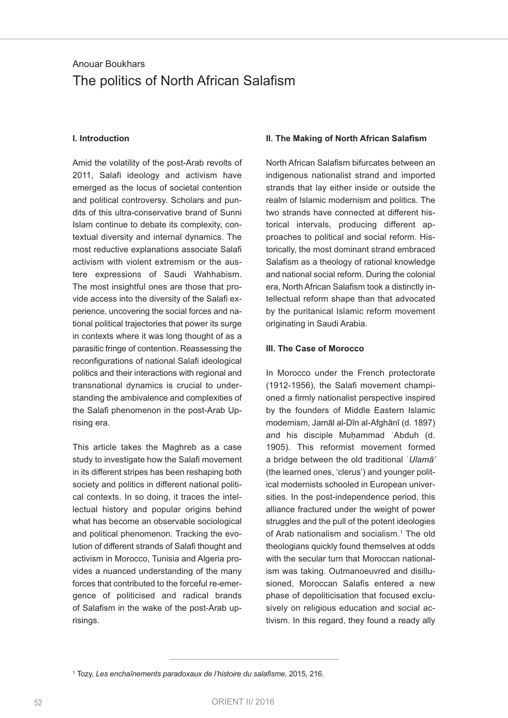# Anouar Boukhars The politics of North African Salafism

#### **I. Introduction**

Amid the volatility of the post-Arab revolts of 2011, Salafi ideology and activism have emerged as the locus of societal contention and political controversy. Scholars and pundits of this ultra-conservative brand of Sunni Islam continue to debate its complexity, contextual diversity and internal dynamics. The most reductive explanations associate Salafi activism with violent extremism or the austere expressions of Saudi Wahhabism. The most insightful ones are those that provide access into the diversity of the Salafi experience, uncovering the social forces and national political trajectories that power its surge in contexts where it was long thought of as a parasitic fringe of contention. Reassessing the reconfigurations of national Salafi ideological politics and their interactions with regional and transnational dynamics is crucial to understanding the ambivalence and complexities of the Salafi phenomenon in the post-Arab Uprising era.

This article takes the Maghreb as a case study to investigate how the Salafi movement in its different stripes has been reshaping both society and politics in different national political contexts. In so doing, it traces the intellectual history and popular origins behind what has become an observable sociological and political phenomenon. Tracking the evolution of different strands of Salafi thought and activism in Morocco, Tunisia and Algeria provides a nuanced understanding of the many forces that contributed to the forceful re-emergence of politicised and radical brands of Salafism in the wake of the post-Arab uprisings.

#### **II. The Making of North African Salafism**

North African Salafism bifurcates between an indigenous nationalist strand and imported strands that lay either inside or outside the realm of Islamic modernism and politics. The two strands have connected at different historical intervals, producing different approaches to political and social reform. Historically, the most dominant strand embraced Salafism as a theology of rational knowledge and national social reform. During the colonial era, North African Salafism took a distinctly intellectual reform shape than that advocated by the puritanical Islamic reform movement originating in Saudi Arabia.

#### **III. The Case of Morocco**

In Morocco under the French protectorate (1912-1956), the Salafi movement championed a firmly nationalist perspective inspired by the founders of Middle Eastern Islamic modernism, Jamāl al-Dīn al-Afghānī (d. 1897) and his disciple Muhammad 'Abduh (d. 1905). This reformist movement formed a bridge between the old traditional ʿ*Ulamā'* (the learned ones, 'clerus') and younger political modernists schooled in European universities. In the post-independence period, this alliance fractured under the weight of power struggles and the pull of the potent ideologies of Arab nationalism and socialism.<sup>1</sup> The old theologians quickly found themselves at odds with the secular turn that Moroccan nationalism was taking. Outmanoeuvred and disillusioned, Moroccan Salafis entered a new phase of depoliticisation that focused exclusively on religious education and social activism. In this regard, they found a ready ally

<sup>1</sup> Tozy, *Les enchaînements paradoxaux de l'histoire du salafisme*, 2015, 216.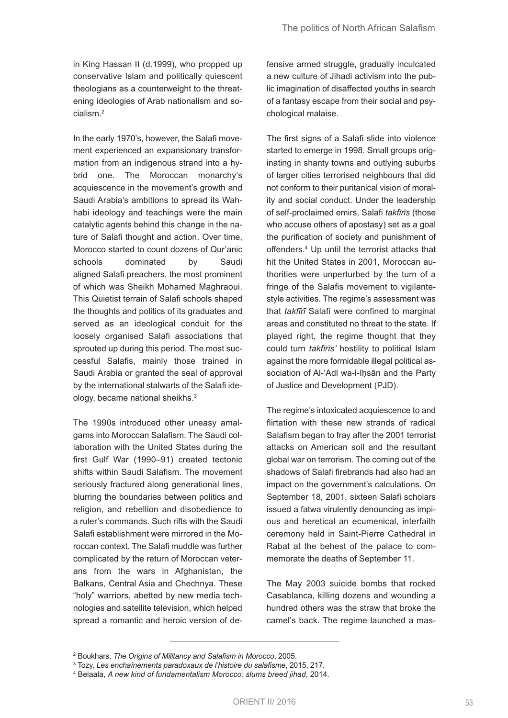in King Hassan II (d.1999), who propped up conservative Islam and politically quiescent theologians as a counterweight to the threatening ideologies of Arab nationalism and socialism.<sup>2</sup>

In the early 1970's, however, the Salafi movement experienced an expansionary transformation from an indigenous strand into a hybrid one. The Moroccan monarchy's acquiescence in the movement's growth and Saudi Arabia's ambitions to spread its Wahhabi ideology and teachings were the main catalytic agents behind this change in the nature of Salafi thought and action. Over time, Morocco started to count dozens of Qur'anic schools dominated by Saudi aligned Salafi preachers, the most prominent of which was Sheikh Mohamed Maghraoui. This Quietist terrain of Salafi schools shaped the thoughts and politics of its graduates and served as an ideological conduit for the loosely organised Salafi associations that sprouted up during this period. The most successful Salafis, mainly those trained in Saudi Arabia or granted the seal of approval by the international stalwarts of the Salafi ideology, became national sheikhs.<sup>3</sup>

The 1990s introduced other uneasy amalgams into Moroccan Salafism. The Saudi collaboration with the United States during the first Gulf War (1990–91) created tectonic shifts within Saudi Salafism. The movement seriously fractured along generational lines, blurring the boundaries between politics and religion, and rebellion and disobedience to a ruler's commands. Such rifts with the Saudi Salafi establishment were mirrored in the Moroccan context. The Salafi muddle was further complicated by the return of Moroccan veterans from the wars in Afghanistan, the Balkans, Central Asia and Chechnya. These "holy" warriors, abetted by new media technologies and satellite television, which helped spread a romantic and heroic version of de-

fensive armed struggle, gradually inculcated a new culture of Jihadi activism into the public imagination of disaffected youths in search of a fantasy escape from their social and psychological malaise.

The first signs of a Salafi slide into violence started to emerge in 1998. Small groups originating in shanty towns and outlying suburbs of larger cities terrorised neighbours that did not conform to their puritanical vision of morality and social conduct. Under the leadership of self-proclaimed emirs, Salafi *takfīrīs* (those who accuse others of apostasy) set as a goal the purification of society and punishment of offenders.<sup>4</sup> Up until the terrorist attacks that hit the United States in 2001, Moroccan authorities were unperturbed by the turn of a fringe of the Salafis movement to vigilantestyle activities. The regime's assessment was that *takfīrī* Salafi were confined to marginal areas and constituted no threat to the state. If played right, the regime thought that they could turn *takfīrīs'* hostility to political Islam against the more formidable illegal political association of Al-'Adl wa-l-Ihsān and the Party of Justice and Development (PJD).

The regime's intoxicated acquiescence to and flirtation with these new strands of radical Salafism began to fray after the 2001 terrorist attacks on American soil and the resultant global war on terrorism. The coming out of the shadows of Salafi firebrands had also had an impact on the government's calculations. On September 18, 2001, sixteen Salafi scholars issued a fatwa virulently denouncing as impious and heretical an ecumenical, interfaith ceremony held in Saint-Pierre Cathedral in Rabat at the behest of the palace to commemorate the deaths of September 11.

The May 2003 suicide bombs that rocked Casablanca, killing dozens and wounding a hundred others was the straw that broke the camel's back. The regime launched a mas-

<sup>2</sup> Boukhars, *The Origins of Militancy and Salafism in Morocco*, 2005.

<sup>3</sup> Tozy, *Les enchaînements paradoxaux de l'histoire du salafisme*, 2015, 217.

<sup>4</sup> Belaala, *A new kind of fundamentalism Morocco: slums breed jihad*, 2014.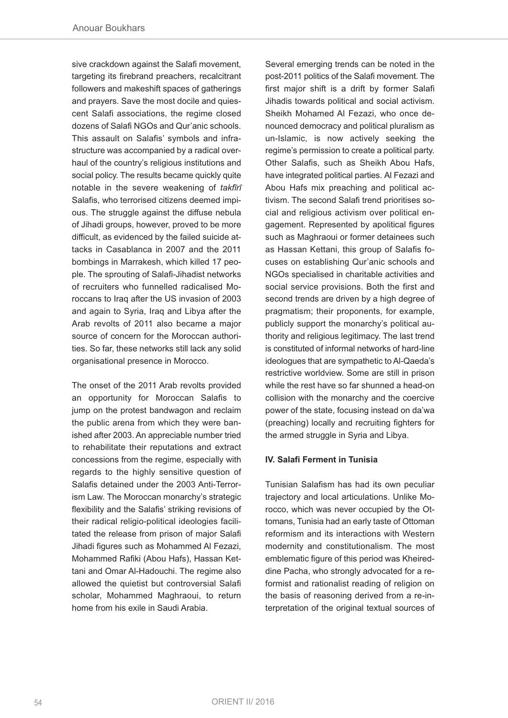sive crackdown against the Salafi movement, targeting its firebrand preachers, recalcitrant followers and makeshift spaces of gatherings and prayers. Save the most docile and quiescent Salafi associations, the regime closed dozens of Salafi NGOs and Qur'anic schools. This assault on Salafis' symbols and infrastructure was accompanied by a radical overhaul of the country's religious institutions and social policy. The results became quickly quite notable in the severe weakening of *takfīrī* Salafis, who terrorised citizens deemed impious. The struggle against the diffuse nebula of Jihadi groups, however, proved to be more difficult, as evidenced by the failed suicide attacks in Casablanca in 2007 and the 2011 bombings in Marrakesh, which killed 17 people. The sprouting of Salafi-Jihadist networks of recruiters who funnelled radicalised Moroccans to Iraq after the US invasion of 2003 and again to Syria, Iraq and Libya after the Arab revolts of 2011 also became a major source of concern for the Moroccan authorities. So far, these networks still lack any solid organisational presence in Morocco.

The onset of the 2011 Arab revolts provided an opportunity for Moroccan Salafis to jump on the protest bandwagon and reclaim the public arena from which they were banished after 2003. An appreciable number tried to rehabilitate their reputations and extract concessions from the regime, especially with regards to the highly sensitive question of Salafis detained under the 2003 Anti-Terrorism law. The Moroccan monarchy's strategic flexibility and the Salafis' striking revisions of their radical religio-political ideologies facilitated the release from prison of major Salafi Jihadi figures such as Mohammed Al Fezazi, Mohammed Rafiki (Abou Hafs), Hassan Kettani and Omar Al-Hadouchi. The regime also allowed the quietist but controversial Salafi scholar, Mohammed Maghraoui, to return home from his exile in Saudi Arabia.

Several emerging trends can be noted in the post-2011 politics of the Salafi movement. The first major shift is a drift by former Salafi Jihadis towards political and social activism. Sheikh Mohamed Al Fezazi, who once denounced democracy and political pluralism as un-Islamic, is now actively seeking the regime's permission to create a political party. Other Salafis, such as Sheikh Abou Hafs, have integrated political parties. Al Fezazi and Abou Hafs mix preaching and political activism. The second Salafi trend prioritises social and religious activism over political engagement. Represented by apolitical figures such as Maghraoui or former detainees such as Hassan Kettani, this group of Salafis focuses on establishing Qur'anic schools and NGOs specialised in charitable activities and social service provisions. Both the first and second trends are driven by a high degree of pragmatism; their proponents, for example, publicly support the monarchy's political authority and religious legitimacy. The last trend is constituted of informal networks of hard-line ideologues that are sympathetic to Al-Qaeda's restrictive worldview. Some are still in prison while the rest have so far shunned a head-on collision with the monarchy and the coercive power of the state, focusing instead on da'wa (preaching) locally and recruiting fighters for the armed struggle in Syria and Libya.

## **IV. Salafi Ferment in Tunisia**

Tunisian Salafism has had its own peculiar trajectory and local articulations. Unlike Morocco, which was never occupied by the Ottomans, Tunisia had an early taste of Ottoman reformism and its interactions with Western modernity and constitutionalism. The most emblematic figure of this period was Kheireddine Pacha, who strongly advocated for a reformist and rationalist reading of religion on the basis of reasoning derived from a re-interpretation of the original textual sources of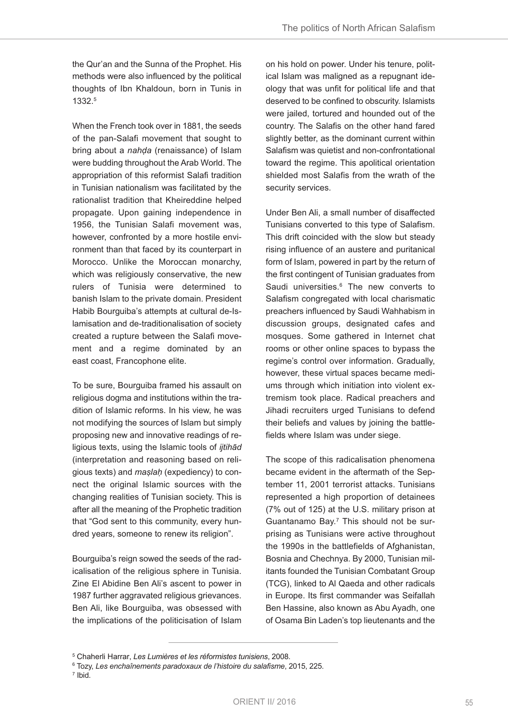the Qur'an and the Sunna of the Prophet. His methods were also influenced by the political thoughts of Ibn Khaldoun, born in Tunis in 1332.<sup>5</sup>

When the French took over in 1881, the seeds of the pan-Salafi movement that sought to bring about a *nahḍa* (renaissance) of Islam were budding throughout the Arab World. The appropriation of this reformist Salafi tradition in Tunisian nationalism was facilitated by the rationalist tradition that Kheireddine helped propagate. Upon gaining independence in 1956, the Tunisian Salafi movement was, however, confronted by a more hostile environment than that faced by its counterpart in Morocco. Unlike the Moroccan monarchy, which was religiously conservative, the new rulers of Tunisia were determined to banish Islam to the private domain. President Habib Bourguiba's attempts at cultural de-Islamisation and de-traditionalisation of society created a rupture between the Salafi movement and a regime dominated by an east coast, Francophone elite.

To be sure, Bourguiba framed his assault on religious dogma and institutions within the tradition of Islamic reforms. In his view, he was not modifying the sources of Islam but simply proposing new and innovative readings of religious texts, using the Islamic tools of *ijtihād* (interpretation and reasoning based on religious texts) and *maṣlaḥ* (expediency) to connect the original Islamic sources with the changing realities of Tunisian society. This is after all the meaning of the Prophetic tradition that "God sent to this community, every hundred years, someone to renew its religion".

Bourguiba's reign sowed the seeds of the radicalisation of the religious sphere in Tunisia. Zine El Abidine Ben Ali's ascent to power in 1987 further aggravated religious grievances. Ben Ali, like Bourguiba, was obsessed with the implications of the politicisation of Islam

on his hold on power. Under his tenure, political Islam was maligned as a repugnant ideology that was unfit for political life and that deserved to be confined to obscurity. Islamists were jailed, tortured and hounded out of the country. The Salafis on the other hand fared slightly better, as the dominant current within Salafism was quietist and non-confrontational toward the regime. This apolitical orientation shielded most Salafis from the wrath of the security services.

Under Ben Ali, a small number of disaffected Tunisians converted to this type of Salafism. This drift coincided with the slow but steady rising influence of an austere and puritanical form of Islam, powered in part by the return of the first contingent of Tunisian graduates from Saudi universities.<sup>6</sup> The new converts to Salafism congregated with local charismatic preachers influenced by Saudi Wahhabism in discussion groups, designated cafes and mosques. Some gathered in Internet chat rooms or other online spaces to bypass the regime's control over information. Gradually, however, these virtual spaces became mediums through which initiation into violent extremism took place. Radical preachers and Jihadi recruiters urged Tunisians to defend their beliefs and values by joining the battlefields where Islam was under siege.

The scope of this radicalisation phenomena became evident in the aftermath of the September 11, 2001 terrorist attacks. Tunisians represented a high proportion of detainees (7% out of 125) at the U.S. military prison at Guantanamo Bay.<sup>7</sup> This should not be surprising as Tunisians were active throughout the 1990s in the battlefields of Afghanistan, Bosnia and Chechnya. By 2000, Tunisian militants founded the Tunisian Combatant Group (TCG), linked to Al Qaeda and other radicals in Europe. Its first commander was Seifallah Ben Hassine, also known as Abu Ayadh, one of Osama Bin laden's top lieutenants and the

7 Ibid.

<sup>5</sup> Chaherli Harrar, *Les Lumières et les réformistes tunisiens*, 2008.

<sup>6</sup> Tozy, *Les enchaînements paradoxaux de l'histoire du salafisme*, 2015, 225.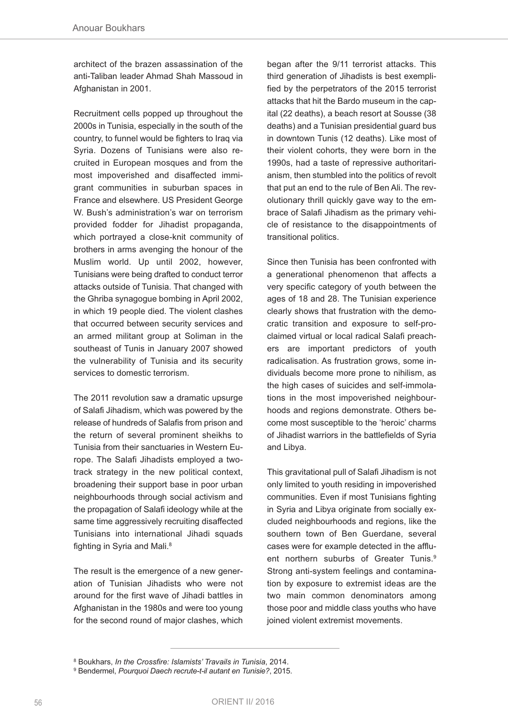architect of the brazen assassination of the anti-Taliban leader Ahmad Shah Massoud in Afghanistan in 2001.

Recruitment cells popped up throughout the 2000s in Tunisia, especially in the south of the country, to funnel would be fighters to Iraq via Syria. Dozens of Tunisians were also recruited in European mosques and from the most impoverished and disaffected immigrant communities in suburban spaces in France and elsewhere. US President George W. Bush's administration's war on terrorism provided fodder for Jihadist propaganda, which portrayed a close-knit community of brothers in arms avenging the honour of the Muslim world. Up until 2002, however, Tunisians were being drafted to conduct terror attacks outside of Tunisia. That changed with the Ghriba synagogue bombing in April 2002, in which 19 people died. The violent clashes that occurred between security services and an armed militant group at Soliman in the southeast of Tunis in January 2007 showed the vulnerability of Tunisia and its security services to domestic terrorism.

The 2011 revolution saw a dramatic upsurge of Salafi Jihadism, which was powered by the release of hundreds of Salafis from prison and the return of several prominent sheikhs to Tunisia from their sanctuaries in Western Europe. The Salafi Jihadists employed a twotrack strategy in the new political context, broadening their support base in poor urban neighbourhoods through social activism and the propagation of Salafi ideology while at the same time aggressively recruiting disaffected Tunisians into international Jihadi squads fighting in Syria and Mali.<sup>8</sup>

The result is the emergence of a new generation of Tunisian Jihadists who were not around for the first wave of Jihadi battles in Afghanistan in the 1980s and were too young for the second round of major clashes, which

began after the 9/11 terrorist attacks. This third generation of Jihadists is best exemplified by the perpetrators of the 2015 terrorist attacks that hit the Bardo museum in the capital (22 deaths), a beach resort at Sousse (38 deaths) and a Tunisian presidential guard bus in downtown Tunis (12 deaths). Like most of their violent cohorts, they were born in the 1990s, had a taste of repressive authoritarianism, then stumbled into the politics of revolt that put an end to the rule of Ben Ali. The revolutionary thrill quickly gave way to the embrace of Salafi Jihadism as the primary vehicle of resistance to the disappointments of transitional politics.

Since then Tunisia has been confronted with a generational phenomenon that affects a very specific category of youth between the ages of 18 and 28. The Tunisian experience clearly shows that frustration with the democratic transition and exposure to self-proclaimed virtual or local radical Salafi preachers are important predictors of youth radicalisation. As frustration grows, some individuals become more prone to nihilism, as the high cases of suicides and self-immolations in the most impoverished neighbourhoods and regions demonstrate. Others become most susceptible to the 'heroic' charms of Jihadist warriors in the battlefields of Syria and Libya.

This gravitational pull of Salafi Jihadism is not only limited to youth residing in impoverished communities. Even if most Tunisians fighting in Syria and Libya originate from socially excluded neighbourhoods and regions, like the southern town of Ben Guerdane, several cases were for example detected in the affluent northern suburbs of Greater Tunis.<sup>9</sup> Strong anti-system feelings and contamination by exposure to extremist ideas are the two main common denominators among those poor and middle class youths who have joined violent extremist movements.

<sup>8</sup> Boukhars, *In the Crossfire: Islamists' Travails in Tunisia*, 2014.

<sup>9</sup> Bendermel, *Pourquoi Daech recrute-t-il autant en Tunisie?*, 2015.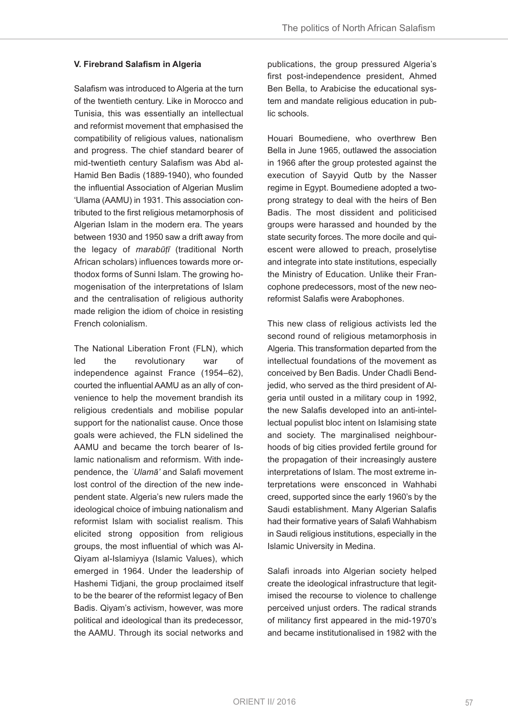# **V. Firebrand Salafism in Algeria**

Salafism was introduced to Algeria at the turn of the twentieth century. Like in Morocco and Tunisia, this was essentially an intellectual and reformist movement that emphasised the compatibility of religious values, nationalism and progress. The chief standard bearer of mid-twentieth century Salafism was Abd al-Hamid Ben Badis (1889-1940), who founded the influential Association of Algerian Muslim 'Ulama (AAMU) in 1931. This association contributed to the first religious metamorphosis of Algerian Islam in the modern era. The years between 1930 and 1950 saw a drift away from the legacy of *marabūṭī* (traditional North African scholars) influences towards more orthodox forms of Sunni Islam. The growing homogenisation of the interpretations of Islam and the centralisation of religious authority made religion the idiom of choice in resisting French colonialism.

The National Liberation Front (FLN), which led the revolutionary war of independence against France (1954–62), courted the influential AAMU as an ally of convenience to help the movement brandish its religious credentials and mobilise popular support for the nationalist cause. Once those goals were achieved, the FlN sidelined the AAMU and became the torch bearer of Islamic nationalism and reformism. With independence, the *ʿUlamā'* and Salafi movement lost control of the direction of the new independent state. Algeria's new rulers made the ideological choice of imbuing nationalism and reformist Islam with socialist realism. This elicited strong opposition from religious groups, the most influential of which was Al-Qiyam al-Islamiyya (Islamic Values), which emerged in 1964. Under the leadership of Hashemi Tidjani, the group proclaimed itself to be the bearer of the reformist legacy of Ben Badis. Qiyam's activism, however, was more political and ideological than its predecessor, the AAMU. Through its social networks and

publications, the group pressured Algeria's first post-independence president, Ahmed Ben Bella, to Arabicise the educational system and mandate religious education in public schools.

Houari Boumediene, who overthrew Ben Bella in June 1965, outlawed the association in 1966 after the group protested against the execution of Sayyid Qutb by the Nasser regime in Egypt. Boumediene adopted a twoprong strategy to deal with the heirs of Ben Badis. The most dissident and politicised groups were harassed and hounded by the state security forces. The more docile and quiescent were allowed to preach, proselytise and integrate into state institutions, especially the Ministry of Education. Unlike their Francophone predecessors, most of the new neoreformist Salafis were Arabophones.

This new class of religious activists led the second round of religious metamorphosis in Algeria. This transformation departed from the intellectual foundations of the movement as conceived by Ben Badis. Under Chadli Bendjedid, who served as the third president of Algeria until ousted in a military coup in 1992, the new Salafis developed into an anti-intellectual populist bloc intent on Islamising state and society. The marginalised neighbourhoods of big cities provided fertile ground for the propagation of their increasingly austere interpretations of Islam. The most extreme interpretations were ensconced in Wahhabi creed, supported since the early 1960's by the Saudi establishment. Many Algerian Salafis had their formative years of Salafi Wahhabism in Saudi religious institutions, especially in the Islamic University in Medina.

Salafi inroads into Algerian society helped create the ideological infrastructure that legitimised the recourse to violence to challenge perceived unjust orders. The radical strands of militancy first appeared in the mid-1970's and became institutionalised in 1982 with the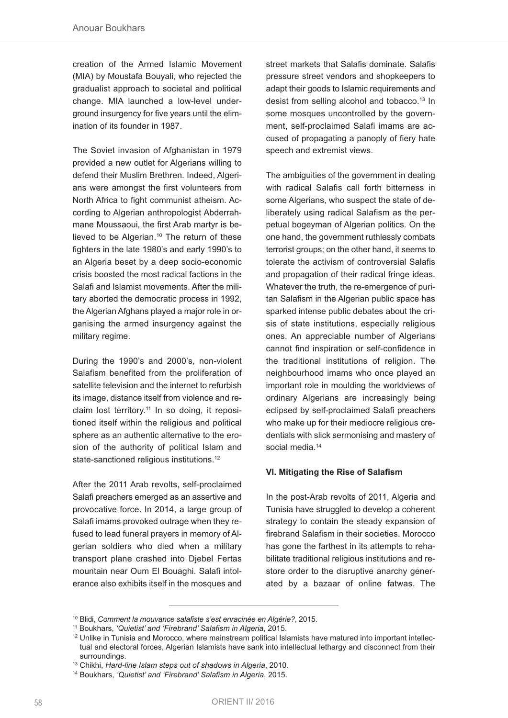creation of the Armed Islamic Movement (MIA) by Moustafa Bouyali, who rejected the gradualist approach to societal and political change. MIA launched a low-level underground insurgency for five years until the elimination of its founder in 1987.

The Soviet invasion of Afghanistan in 1979 provided a new outlet for Algerians willing to defend their Muslim Brethren. Indeed, Algerians were amongst the first volunteers from North Africa to fight communist atheism. According to Algerian anthropologist Abderrahmane Moussaoui, the first Arab martyr is believed to be Algerian.<sup>10</sup> The return of these fighters in the late 1980's and early 1990's to an Algeria beset by a deep socio-economic crisis boosted the most radical factions in the Salafi and Islamist movements. After the military aborted the democratic process in 1992, the Algerian Afghans played a major role in organising the armed insurgency against the military regime.

During the 1990's and 2000's, non-violent Salafism benefited from the proliferation of satellite television and the internet to refurbish its image, distance itself from violence and reclaim lost territory.<sup>11</sup> In so doing, it repositioned itself within the religious and political sphere as an authentic alternative to the erosion of the authority of political Islam and state-sanctioned religious institutions.<sup>12</sup>

After the 2011 Arab revolts, self-proclaimed Salafi preachers emerged as an assertive and provocative force. In 2014, a large group of Salafi imams provoked outrage when they refused to lead funeral prayers in memory of Algerian soldiers who died when a military transport plane crashed into Djebel Fertas mountain near Oum El Bouaghi. Salafi intolerance also exhibits itself in the mosques and street markets that Salafis dominate. Salafis pressure street vendors and shopkeepers to adapt their goods to Islamic requirements and desist from selling alcohol and tobacco.<sup>13</sup> In some mosques uncontrolled by the government, self-proclaimed Salafi imams are accused of propagating a panoply of fiery hate speech and extremist views.

The ambiguities of the government in dealing with radical Salafis call forth bitterness in some Algerians, who suspect the state of deliberately using radical Salafism as the perpetual bogeyman of Algerian politics. On the one hand, the government ruthlessly combats terrorist groups; on the other hand, it seems to tolerate the activism of controversial Salafis and propagation of their radical fringe ideas. Whatever the truth, the re-emergence of puritan Salafism in the Algerian public space has sparked intense public debates about the crisis of state institutions, especially religious ones. An appreciable number of Algerians cannot find inspiration or self-confidence in the traditional institutions of religion. The neighbourhood imams who once played an important role in moulding the worldviews of ordinary Algerians are increasingly being eclipsed by self-proclaimed Salafi preachers who make up for their mediocre religious credentials with slick sermonising and mastery of social media.<sup>14</sup>

## **VI. Mitigating the Rise of Salafism**

In the post-Arab revolts of 2011, Algeria and Tunisia have struggled to develop a coherent strategy to contain the steady expansion of firebrand Salafism in their societies. Morocco has gone the farthest in its attempts to rehabilitate traditional religious institutions and restore order to the disruptive anarchy generated by a bazaar of online fatwas. The

<sup>10</sup> Blidi, *Comment la mouvance salafiste s'est enracinée en Algérie?*, 2015.

<sup>11</sup> Boukhars, *'Quietist' and 'Firebrand' Salafism in Algeria*, 2015.

 $12$  Unlike in Tunisia and Morocco, where mainstream political Islamists have matured into important intellectual and electoral forces, Algerian Islamists have sank into intellectual lethargy and disconnect from their surroundings.

<sup>13</sup> Chikhi, *Hard-line Islam steps out of shadows in Algeria*, 2010.

<sup>14</sup> Boukhars, *'Quietist' and 'Firebrand' Salafism in Algeria*, 2015.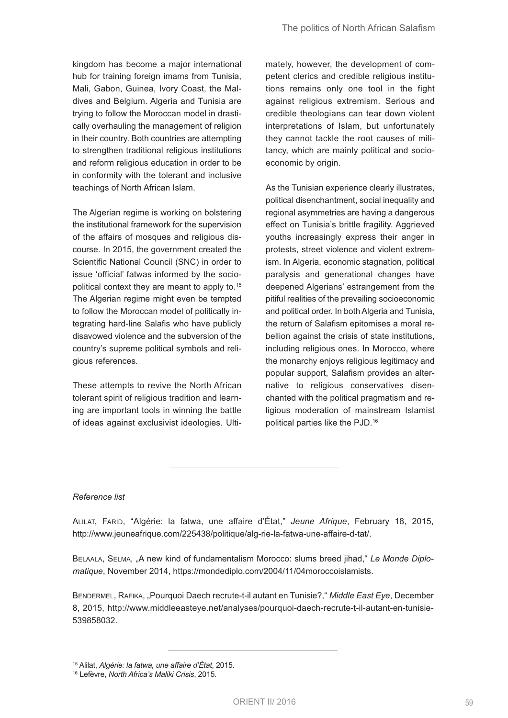kingdom has become a major international hub for training foreign imams from Tunisia, Mali, Gabon, Guinea, Ivory Coast, the Maldives and Belgium. Algeria and Tunisia are trying to follow the Moroccan model in drastically overhauling the management of religion in their country. Both countries are attempting to strengthen traditional religious institutions and reform religious education in order to be in conformity with the tolerant and inclusive teachings of North African Islam.

The Algerian regime is working on bolstering the institutional framework for the supervision of the affairs of mosques and religious discourse. In 2015, the government created the Scientific National Council (SNC) in order to issue 'official' fatwas informed by the sociopolitical context they are meant to apply to.<sup>15</sup> The Algerian regime might even be tempted to follow the Moroccan model of politically integrating hard-line Salafis who have publicly disavowed violence and the subversion of the country's supreme political symbols and religious references.

These attempts to revive the North African tolerant spirit of religious tradition and learning are important tools in winning the battle of ideas against exclusivist ideologies. Ultimately, however, the development of competent clerics and credible religious institutions remains only one tool in the fight against religious extremism. Serious and credible theologians can tear down violent interpretations of Islam, but unfortunately they cannot tackle the root causes of militancy, which are mainly political and socioeconomic by origin.

As the Tunisian experience clearly illustrates, political disenchantment, social inequality and regional asymmetries are having a dangerous effect on Tunisia's brittle fragility. Aggrieved youths increasingly express their anger in protests, street violence and violent extremism. In Algeria, economic stagnation, political paralysis and generational changes have deepened Algerians' estrangement from the pitiful realities of the prevailing socioeconomic and political order. In both Algeria and Tunisia, the return of Salafism epitomises a moral rebellion against the crisis of state institutions, including religious ones. In Morocco, where the monarchy enjoys religious legitimacy and popular support, Salafism provides an alternative to religious conservatives disenchanted with the political pragmatism and religious moderation of mainstream Islamist political parties like the PJD.<sup>16</sup>

## *Reference list*

AlIlAT, FARID, "Algérie: la fatwa, une affaire d'état," *Jeune Afrique*, February 18, 2015, http://www.jeuneafrique.com/225438/politique/alg-rie-la-fatwa-une-affaire-d-tat/.

BELAALA, SELMA, "A new kind of fundamentalism Morocco: slums breed jihad," Le Monde Diplo*matique*, November 2014, https://mondediplo.com/2004/11/04moroccoislamists.

BENDERMEl, RAFIKA, "Pourquoi Daech recrute-t-il autant en Tunisie?," *Middle East Eye*, December 8, 2015, http://www.middleeasteye.net/analyses/pourquoi-daech-recrute-t-il-autant-en-tunisie-539858032.

<sup>15</sup> Alilat, *Algérie: la fatwa, une affaire d'État*, 2015.

<sup>16</sup> lefèvre, *North Africa's Maliki Crisis*, 2015.